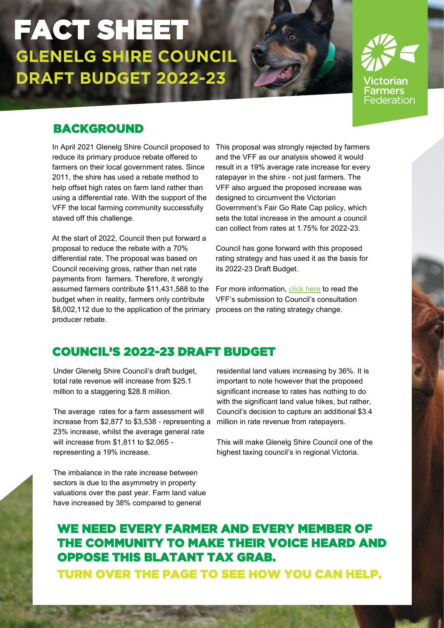ctorian Farmers Federation

## BACKGROUND

In April 2021 Glenelg Shire Council proposed to This proposal was strongly rejected by farmers reduce its primary produce rebate offered to farmers on their local government rates. Since 2011, the shire has used a rebate method to help offset high rates on farm land rather than using a differential rate. With the support of the VFF the local farming community successfully staved off this challenge.

At the start of 2022, Council then put forward a proposal to reduce the rebate with a 70% differential rate. The proposal was based on Council receiving gross, rather than net rate payments from farmers. Therefore, it wrongly assumed farmers contribute \$11,431,588 to the budget when in reality, farmers only contribute \$8,002,112 due to the application of the primary process on the rating strategy change. producer rebate.

and the VFF as our analysis showed it would result in a 19% average rate increase for every ratepayer in the shire - not just farmers. The VFF also argued the proposed increase was designed to circumvent the Victorian Government's Fair Go Rate Cap policy, which sets the total increase in the amount a council can collect from rates at 1.75% for 2022-23.

Council has gone forward with this proposed rating strategy and has used it as the basis for its 2022-23 Draft Budget.

For more information, [click here](https://www.vff.org.au/submission/submission-to-the-glenelg-shire-council-differential-rate-proposal-february-2022/) to read the VFF's submission to Council's consultation

## COUNCIL'S 2022-23 DRAFT BUDGET

Under Glenelg Shire Council's draft budget, total rate revenue will increase from \$25.1 million to a staggering \$28.8 million.

The average rates for a farm assessment will increase from \$2,877 to \$3,538 - representing a 23% increase, whilst the average general rate will increase from \$1,811 to \$2,065 representing a 19% increase.

The imbalance in the rate increase between sectors is due to the asymmetry in property valuations over the past year. Farm land value have increased by 38% compared to general

residential land values increasing by 36%. It is important to note however that the proposed significant increase to rates has nothing to do with the significant land value hikes, but rather, Council's decision to capture an additional \$3.4 million in rate revenue from ratepayers.

This will make Glenelg Shire Council one of the highest taxing council's in regional Victoria.

# WE NEED EVERY FARMER AND EVERY MEMBER OF THE COMMUNITY TO MAKE THEIR VOICE HEARD AND OPPOSE THIS BLATANT TAX GRAB.

TURN OVER THE PAGE TO SEE HOW YOU CAN HELP.